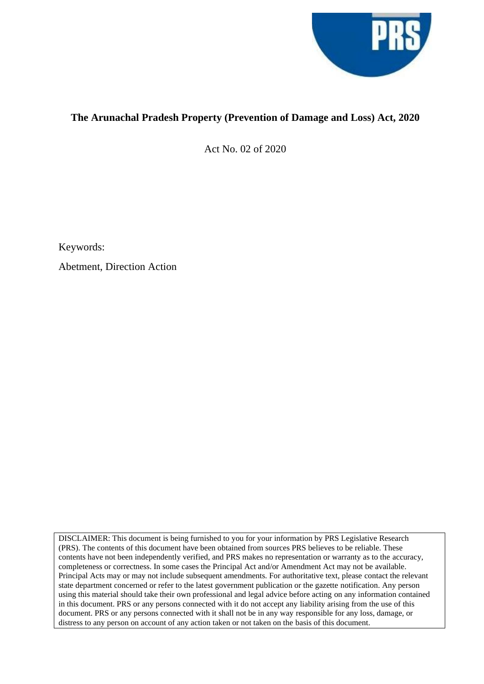

# **The Arunachal Pradesh Property (Prevention of Damage and Loss) Act, 2020**

Act No. 02 of 2020

Keywords:

Abetment, Direction Action

DISCLAIMER: This document is being furnished to you for your information by PRS Legislative Research (PRS). The contents of this document have been obtained from sources PRS believes to be reliable. These contents have not been independently verified, and PRS makes no representation or warranty as to the accuracy, completeness or correctness. In some cases the Principal Act and/or Amendment Act may not be available. Principal Acts may or may not include subsequent amendments. For authoritative text, please contact the relevant state department concerned or refer to the latest government publication or the gazette notification. Any person using this material should take their own professional and legal advice before acting on any information contained in this document. PRS or any persons connected with it do not accept any liability arising from the use of this document. PRS or any persons connected with it shall not be in any way responsible for any loss, damage, or distress to any person on account of any action taken or not taken on the basis of this document.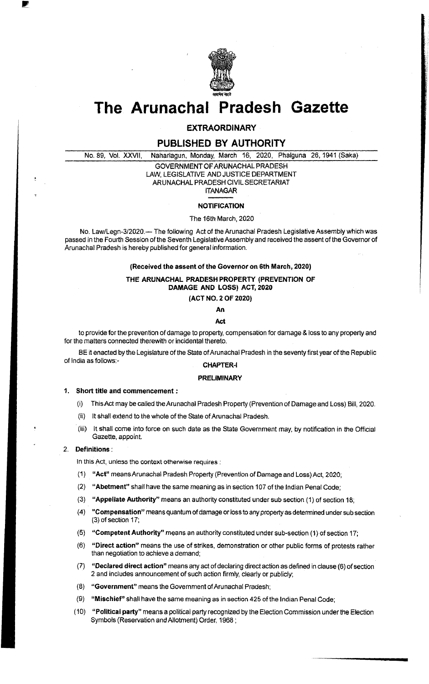

# **The Arunachal Pradesh Gazette**

# **EXTRAORDINARY**

# PUBLISHED BY AUTHORITY

No. 89, Vol. XXVII, Naharlagun, Monday, March 16, 2020, Phalguna 26,1941 (Saka)

GOVERNMENT OF ARUNACHAL PRADESH LAW, LEGISLATIVE AND JUSTICE DEPARTMENT ARUNACHAL PRADESH CIVIL SECRETARIAT ITANAGAR

#### **NOTIFICATION**

#### The 16th March, 2020

No. Law/Legn-3/2020.- The following Act of the Arunachal Pradesh Legislative Assembly which was passed in the Fourth Session of the Seventh Legislative Assembly and received the assent of the Governor of Arunachal Pradesh is hereby published for general information.

#### (Received the assent of the Governor on 6th March, 2020)

# THE ARUNACHAL PRADESH PROPERTY (PREVENTION OF DAMAGE AND lOSS) ACT, 2020

### (ACT NO.2 OF 2020)

An

#### Act

to provide for the prevention of damage to property, compensation for damage & loss to any property and for the matters connected therewith or incidental thereto.

BE it enacted by the Legislature of the State of Arunachal Pradesh in the seventy first year of the Republic of India as follows:- CHAPTER-I

#### **PRELIMINARY**

#### 1. Short title and commencement:

- (i) This Act may be called the Arunachal Pradesh Property (Prevention of Damage and Loss) Bill, 2020.
- (ii) It shall extend to the whole of the State of Arunachal Pradesh.
- (iii) It shall come into force on such date as the State Government may, by notification in the Official Gazette, appoint.

#### 2. Definitions:

In this Act, unless the context otherwise requires:

- (1) "Act" means Arunachal Pradesh Property (Prevention of Damage and Loss) Act, 2020;
- (2) "Abetment" shall have the same meaning as in section 107 of the Indian Penal Code;
- (3) "Appellate Authority" means an authority constituted under sub section (1) of section 18;
- (4) "Compensation" means quantum of damage or loss to any property as determined under sub section (3) of section 17;
- (5) "Competent Authority" means an authority constituted under sub-section (1) of section 17;
- (6) "Direct action" means the use of strikes, demonstration or other public forms of protests rather than negotiation to achieve a demand;
- (7) "Declared direct action" means any act of declaring direct action as defined in clause (6) of section 2 and includes announcement of such action firmly, clearly or publicly;
- (8) "Government" means the Government of Arunachal Pradesh;
- (9) "Mischief" shall have the same meaning as in section 425 of the Indian Penal Code;
- (10) "Political party" means a political party recognized by the Election Commission under the Election Symbols (Reservation and Allotment) Order, 1968 ;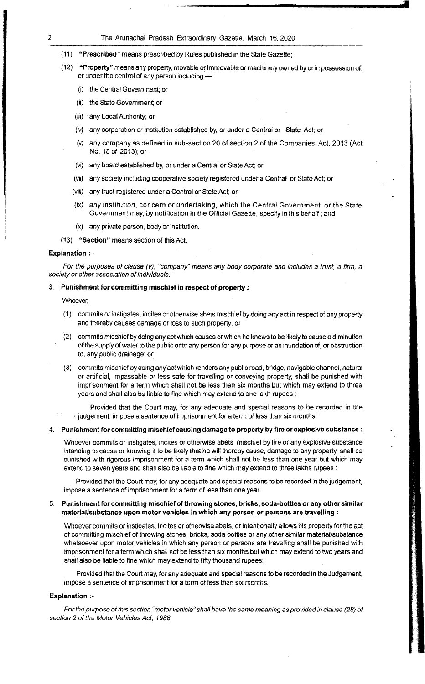#### 2 The Arunachal Pradesh Extraordinary Gazette, March 16, 2020

- (11) **"Prescribed"** means prescribed by Rules published in the State Gazette;
- (12) **"Property"** means any property, movable or immovable or machinery owned by or in possession of, or under the control of any person including -
	- (i) the Central Government; or
	- (ii) the State Government; or
	- (iii) . any Local Authority; or
	- (iv) any corporation or institution established by, or under a Central or State Act; or
	- (v) any company as defined in sub-section 20 of section 2 of the Companies Act, 2013 (Act No. 18 of 2013); or
	- (vi) any board established by, or under a Central or State Act; or
	- (vii) any society including cooperative society registered under a Central or State Act; or
	- (viii) any trust registered under a Central or State Act; or
	- (ix) any institution, concern or undertaking, which the Central Government or the State Government may, by notification in the Official Gazette, specify in this behalf; and
	- (x) any private person, body or institution.
- (13) **"Section"** means section of this Act.

#### **Explanation : -**

*For the purposes of clause (v), "company" means any body corporate and includes a trust, a firm, a society or other association* of *individuals.* 

#### 3. **Punishment for committing mischief in respect of property :**

Whoever,

- (1) commits or instigates, incites or otherwise abets mischief by doing any act in respect of any property and thereby causes damage or loss to such property; or
- (2) commits mischief by doing any act which causes or which he knows to be likely to cause a diminution of the supply of water to the public or to any person for any purpose or an inundation of, or obstruction to, any public drainage; or
- (3) commits mischief by doing anyact which renders any public road, bridge, navigable channel, natural or artificial, impassable or less safe for travelling or conveying property, shall be punished with imprisonment for a term which shall not be less than six months but which may extend to three years and shall also be liable to fine which may extend to one lakh rupees:

Provided that the Court may, for any adequate and special reasons to be recorded in the judgement. impose a sentence of imprisonment for a term of less than six months.

#### 4. **Punishment for committing mischief causing damage to property by fire or explosive substance:**

Whoever commits or instigates, incites or otherwise abets mischief by fire or any explosive substance intending to cause or knowing it to be likely that he will thereby cause, damage to any property, shall be punished with rigorous imprisonment for a term which shall not be less than one year but which may extend to seven years and shall also be liable to fine which may extend to three lakhs rupees:

Provided that the Court may, for any adequate and special reasons to be recorded in the judgement, impose a sentence of imprisonment for a term of less than one year.

#### 5. **Punishment for committing mischief of throwing stones, bricks, soda-bottles or any other similar material/substance upon motor vehicles in which any person or persons are travelling:**

Whoever commits or instigates, incites or otherwise abets, or intentionally allows his property for the act of committing mischief of throwing stones, bricks, soda bottles or any other similar material/substance whatsoever upon motor vehicles in which any person or persons are travelling shall be punished with imprisonment for a term which shall not be less than six months but which may extend to two years and shall also be liable to fine which may extend to fifty thousand rupees:

Provided that the Court may, for any adequate and special reasons to be recorded in the Judgement, impose a sentence of imprisonment for a term of less than six months.

#### **Explanation :-**

*For the purpose* of *this section "motor vehicle" shall have the same meaning* as *provided in clause* (28) of *section* 2 of *the Motor Vehicles Act, 1988.*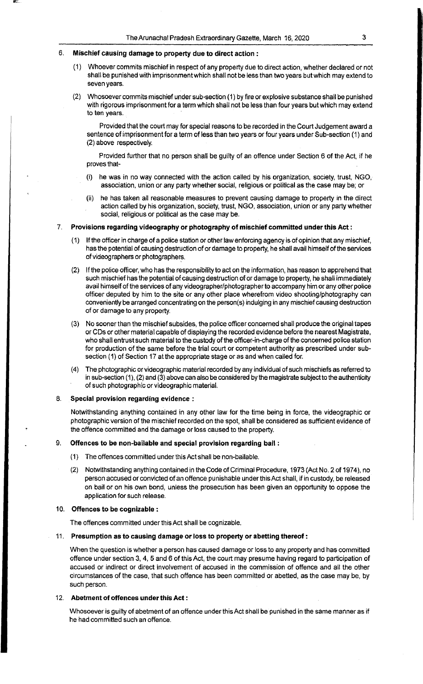### 6. **Mischief causing damage to property due to direct action:**

- (1) Whoever commits mischief in respect of any property due to direct action, whether declared or not shall be punished with imprisonment which shall not be less than two years but which may extend to seven years.
- (2) Whosoever commits mischief under sub-section (1) by fire or explosive substance shall be punished with rigorous imprisonment for a term which shall not be less than four years but which may extend to ten years.

Provided that the court may for special reasons to be recorded in the Court Judgement award a sentence of imprisonment for a term of less than two years or four years under Sub-section (1) and (2) above respectively.

Provided further that no person shall be guilty of an offence under Section 6 of the Act, if he proves that-

- (i) he was in no way connected with the action called by his organization, society, trust, NGO, association, union or any party whether social, religious or political as the case may be; or
- (ii) he has taken all reasonable measures to prevent causing damage to property in the direct action called by his organization, society, trust, NGO, association, union or any party whether social, religious or political as the case may be.

#### 7. **Provisions regarding videography or photography of mischief committed under this Act:**

- (1) If the officer in charge of a police station or other law enforcing agency is of opinion that any mischief, has the potential of causing destruction of or damage to property, he shall avail himself of the services of videog raphers or photographers.
- (2) If the police officer, who has the responsibility to act on the information, has reason to apprehend that such mischief has the potential of causing destruction of or damage to property, he shall immediately avail himself of the services of any videographer/photographer to accompany him or any other police officer deputed by him to the site or any other place wherefrom video shooting/photography can conveniently be arranged concentrating on the person(s) indulging in any mischief causing destruction of or damage to any property.
- (3) No sooner than the mischief subsides, the police officer concerned shall produce the original tapes or CDs or other material capable of displaying the recorded evidence before the nearest Magistrate, who shall entrust such material to the custody of the officer-in-charge of the concerned police station for production of the same before the trial court or competent authority as prescribed under subsection (1) of Section 17 at the appropriate stage or as and when called for.
- (4) The photographic or videographic material recorded by any individual of such mischiefs as referred to in sub-section (1), (2) and (3) above can also be considered by the magistrate subject to the authenticity of such photographic or videographic material.

#### 8. **Special provision regarding evidence :**

Notwithstanding anything contained in any other law for the time being in force, the videographic or photographic version of the mischief recorded on the spot, shall be considered as sufficient evidence of the offence committed and the damage or loss caused to the property.

#### 9. **Offences to be non-bailable and special provision regarding bail :**

- (1) The offences committed under this Act shall be non-bailable.
- (2) Notwithstanding anything contained in the Code of Criminal Procedure, 1973 (Act No.2 of 1974), no person accused or convicted of an offence punishable under this Act shall, if in custody, be released on bailor on his own bond, unless the prosecution has been given an opportunity to oppose the application for such release.

#### 10. **Offences to be cognizable:**

The offences committed under this Act shall be cognizable.

#### 11. **Presumption as to causing damage or loss to property or abetting thereof:**

When the question is whether a person has caused damage or loss to any property and has committed offence under section 3, 4, 5 and 6 of this Act, the court may presume having regard to participation of accused or indirect or direct involvement of accused in the commission of offence and all the other circumstances of the case, that such offence has been committed or abetted, as the case may be, by such person.

#### 12. **Abetment of offences under this Act:**

Whosoever is guilty of abetment of an offence under this Act shall be punished in the same manner as if he had committed such an offence.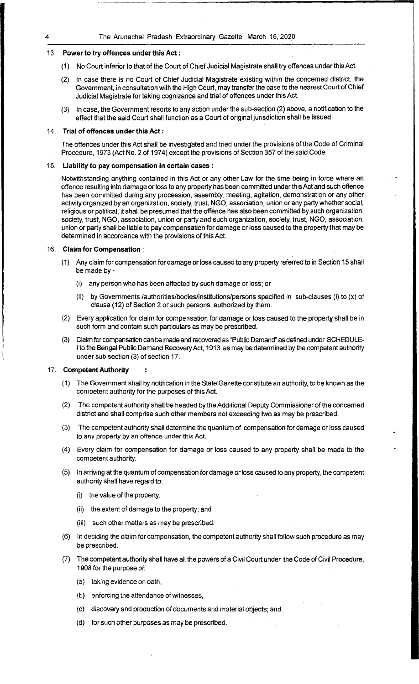#### 4 The Arunachal Pradesh Extraordinary Gazette, March 16,2020

#### 13. **Power to try offences under this Act:**

- (1) No Court inferior to that of the Court of Chief Judicial Magistrate shall try offences under this Act.
- (2) In case there is no Court of Chief Judicial Magistrate existing within the concerned district, the Government, in consultation with the High Court, may transfer the case to the nearest Court of Chief Judicial Magistrate for taking cognizance and trial of offences under this Act.
- (3) In case, the Government resorts to any action under the sub-section (2) above, a notification to the effect that the said Court shall function as a Court of original jurisdiction shall be issued.

#### 14. **Trial of offences under this Act:**

The offences under this Act shall be investigated and tried under the provisions of the Code of Criminal Procedure, 1973 (Act No.2 of 1974) except the provisions of Section 357 of the said Code.

#### 15. **Liability to pay compensation in certain cases:**

Notwithstanding anything contained in this Act or any other Law for the time being in force where an offence resulting into damage or loss to any property has been committed under thisActand such offence has been committed during any procession, assembly, meeting, agitation, demonstration or any other activity organized by an organization, society, trust, NGO, association, union or any party whether social, religious or political, it shall be presumed that the offence has also been committed by such organization, society, trust, NGO, association, union or party and such organization, society, trust, NGO, association, union or party shall be liable to pay compensation for damage or loss caused to the property that may be determined in accordance with the provisions of this Act.

#### 16. **Claim for Compensation:**

- (1) Any claim for compensation for damage or loss caused to any property referred to in Section 15 shall be made by-
	- (i) any person who has been affected by such damage or loss; or
	- (ii) by Governments lauthorities/bodies/institutions/persons specified in sub-clauses (i) to (x) of clause (12) of Section 2 or such persons authorized by them.
- (2) Every application for claim for compensation for damage or loss caused to the property shall be in such form and contain such particulars as may be prescribed.
- (3) Claim for compensation can be made and recovered as "Public Demand" as defined under SCHEDULE-I to the Bengal Public Demand Recovery Act, 1913 as may be determined by the competent authority under sub section (3) of section 17.

### 17. **Competent Authority**

- (1) The Government shall by notification in the State Gazette constitute an authority, to be known as the competent authority for the purposes of this Act.
- (2) The competent authority shall be headed by the Additional Deputy Commissioner of the concerned district and shall comprise such other members not exceeding two as may be prescribed.
- (3) The competent authority shall determine the quantum of compensation for damage or loss caused to any property by an offence under this Act.
- (4) Every claim for compensation for damage or loss caused to any property shall be made to the competent authority.
- (5) In arriving at the quantum of compensation for damage or loss caused to any property, the competent authority shall have regard to:
	- (i) the value of the property,
	- (ii) the extent of damage to the property; and
	- (iii) such other matters as may be prescribed.
- (6) I n deciding the claim for compensation, the competent authority shall follow such procedure as may be prescribed.
- (7) The competent authority shall have all the powers of a Civil Court under the Code of Civil Procedure, 1908 for the purpose of:
	- (a) taking evidence on oath,
	- (b) enforcing the attendance of witnesses,
	- (c) discovery and production of documents and material objects; and
	- (d) for such other purposes as may be prescribed.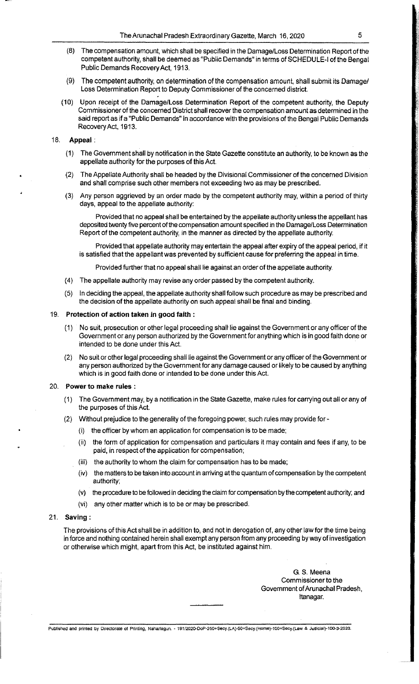- (8) The compensation amount, which shall be specified in the Damage/Loss Determination Report of the competent authority, shall be deemed as "Public Demands" in terms of SCHEDULE-I of the Bengal Public Demands Recovery Act, 1913.
- (9) The competent authority, on determination of the compensation amount, shall submit its Damage/ Loss Determination Report to Deputy Commissioner of the concerned district.
- (10) Upon receipt of the Damage/Loss Determination Report of the competent authority, the Deputy Commissioner of the concerned District shall recover the compensation amount as determined in the said report as if a "Public Demands" in accordance with the provisions of the Bengal Public Demands Recovery Act, 1913.

#### 18. **Appeal:**

- (1) The Government shall by notification in the State Gazette constitute an authority, to be known as the appellate authority for the purposes of this Act.
- (2) The Appellate Authority shall be headed by the Divisional Commissioner of the concerned Division and shall comprise such other members not exceeding two as may be prescribed.
- (3) Any person aggrieved by an order made by the competent authority may, within a period of thirty days, appeal to the appellate authority:

Provided that no appeal shall be entertained by the appellate authority unless the appellant has deposited twenty five percent of the compensation amount specified in the Damage/Loss Determination Report of the competent authority, in the manner as directed by the appellate authority.

Provided that appellate authority may entertain the appeal after expiry of the appeal period, if it is satisfied that the appellant was prevented by sufficient cause for preferring the appeal in time.

Provided further that no appeal shall lie against an order of the appellate authority.

- (4) The appellate authority may revise any order passed by the competent authority.
- (5) In deciding the appeal, the appellate authority shall follow such procedure as may be prescribed and the decision of the appellate authority on such appeal shall be final and binding.

#### 19. **Protection of action taken in good faith:**

- (1) No suit, prosecution or other legal proceeding shall lie against the Government or any officer of the Government or any person authorized by the Government for anything which is in good faith done or intended to be done under this Act. .
- (2) No suit or other legal proceeding shall lie against the Government or any officer of the Government or any person authorized by the Government for any damage caused or likely to be caused by anything which is in good faith done or intended to be done under this Act.

#### 20. **Power to make rules:**

- (1) The Government may, by a notification in the State Gazette, make rules for carrying out all or any of the purposes of this Act.
- (2) Without prejudice to the generality of the foregoing power, such rules may provide for-
	- (i) the officer by whom an application for compensation is to be made;
	- (ii) the form of application for compensation and particulars it may contain and fees if any, to be paid, in respect of the application for compensation;
	- (iii) the authority to whom the claim for compensation has to be made;
	- (iv) the matters to be taken into account in arriving at the quantum of compensation by the competent authority;
	- (v) the procedure to be followed in deciding the claim for compensation by the competent authority; and
	- (vi) any other matter which is to be or may be prescribed.
- 21. **Saving:**

The provisions of this Act shall be in addition to, and not in derogation of, any other law for the time being in force and nothing contained herein shall exempt any person from any proceeding by way of investigation or otherwise which might, apart from this Act, be instituted against him.

> G S. Meena Commissioner to the Government of Arunachal Pradesh, ltanaqar,

Published and printed by Directorate of Printing, Naharlagun. - 191/2020-DoP-250+Secy.(LA)-50+Secy.(Home)-100+Secy.(Law & Judicial)-100-3-2020.